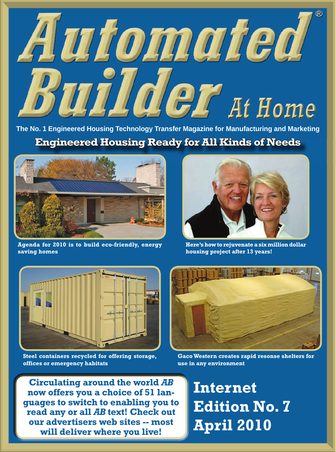## Automated Builder At Home

**The No. 1 Engineered Housing Technology Transfer Magazine for Manufacturing and Marketing Engineered Housing Ready for All Kinds of Needs**



**Agenda for 2010 is to build eco-friendly, energy saving homes**



**Here's how to rejuvenate a six million dollar housing project after 13 years!**



**Steel containers recycled for offering storage, offices or emergency habitats**



**Gaco Western creates rapid resonse shelters for use in any environment**

**Circulating around the world** *AB* **now offers you a choice of 51 languages to switch to enabling you to read any or all** *AB* **text! Check out our advertisers web sites -- most will deliver where you live! Internet Edition No. 7 April 2010**